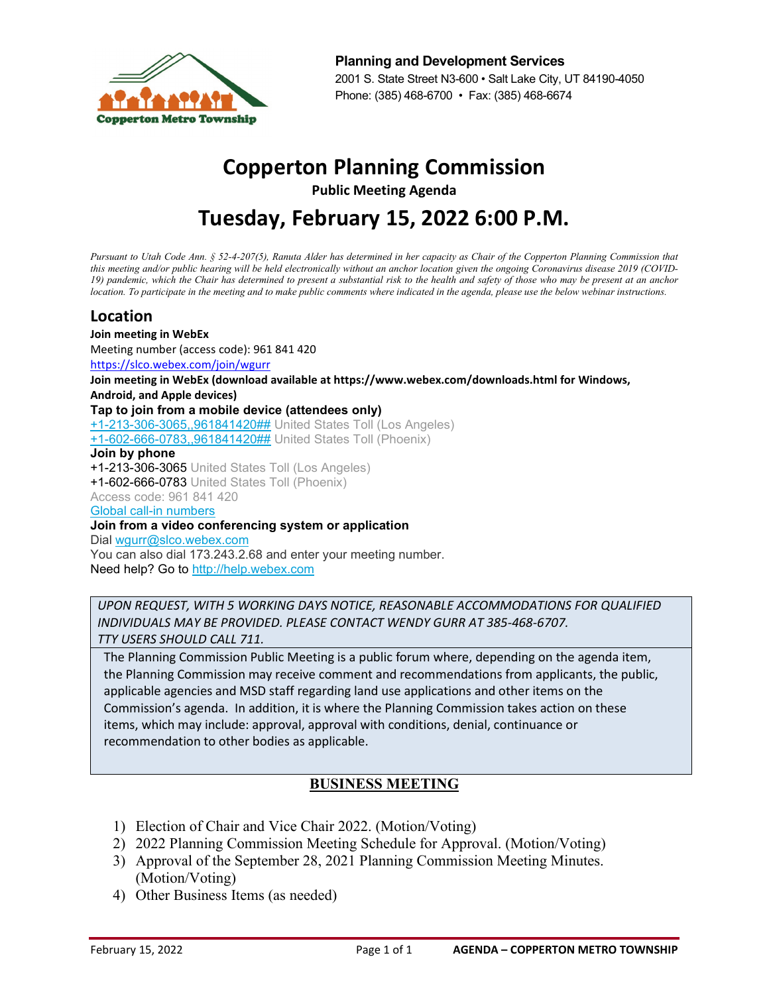

**Planning and Development Services** 2001 S. State Street N3-600 • Salt Lake City, UT 84190-4050 Phone: (385) 468-6700 • Fax: (385) 468-6674

# **Copperton Planning Commission**

**Public Meeting Agenda**

# **Tuesday, February 15, 2022 6:00 P.M.**

*Pursuant to Utah Code Ann. § 52-4-207(5), Ranuta Alder has determined in her capacity as Chair of the Copperton Planning Commission that*  this meeting and/or public hearing will be held electronically without an anchor location given the ongoing Coronavirus disease 2019 (COVID-*19) pandemic, which the Chair has determined to present a substantial risk to the health and safety of those who may be present at an anchor location. To participate in the meeting and to make public comments where indicated in the agenda, please use the below webinar instructions.*

### **Location**

**Join meeting in WebEx** Meeting number (access code): 961 841 420 <https://slco.webex.com/join/wgurr> **Join meeting in WebEx (download available at https://www.webex.com/downloads.html for Windows, Android, and Apple devices) Tap to join from a mobile device (attendees only)** [+1-213-306-3065,,961841420##](tel:%2B1-213-306-3065,,*01*961841420%23%23*01*) United States Toll (Los Angeles) [+1-602-666-0783,,961841420##](tel:%2B1-602-666-0783,,*01*961841420%23%23*01*) United States Toll (Phoenix) **Join by phone** +1-213-306-3065 United States Toll (Los Angeles) +1-602-666-0783 United States Toll (Phoenix) Access code: 961 841 420 [Global call-in numbers](https://slco.webex.com/cmp3300/webcomponents/widget/globalcallin/globalcallin.do?siteurl=slco&serviceType=MC&ED=856043427&tollFree=0) **Join from a video conferencing system or application** Dial [wgurr@slco.webex.com](sip:wgurr@slco.webex.com) You can also dial 173.243.2.68 and enter your meeting number. Need help? Go to [http://help.webex.com](http://help.webex.com/)

*UPON REQUEST, WITH 5 WORKING DAYS NOTICE, REASONABLE ACCOMMODATIONS FOR QUALIFIED INDIVIDUALS MAY BE PROVIDED. PLEASE CONTACT WENDY GURR AT 385-468-6707. TTY USERS SHOULD CALL 711.*

The Planning Commission Public Meeting is a public forum where, depending on the agenda item, the Planning Commission may receive comment and recommendations from applicants, the public, applicable agencies and MSD staff regarding land use applications and other items on the Commission's agenda. In addition, it is where the Planning Commission takes action on these items, which may include: approval, approval with conditions, denial, continuance or recommendation to other bodies as applicable.

### **BUSINESS MEETING**

- 1) Election of Chair and Vice Chair 2022. (Motion/Voting)
- 2) 2022 Planning Commission Meeting Schedule for Approval. (Motion/Voting)
- 3) Approval of the September 28, 2021 Planning Commission Meeting Minutes. (Motion/Voting)
- 4) Other Business Items (as needed)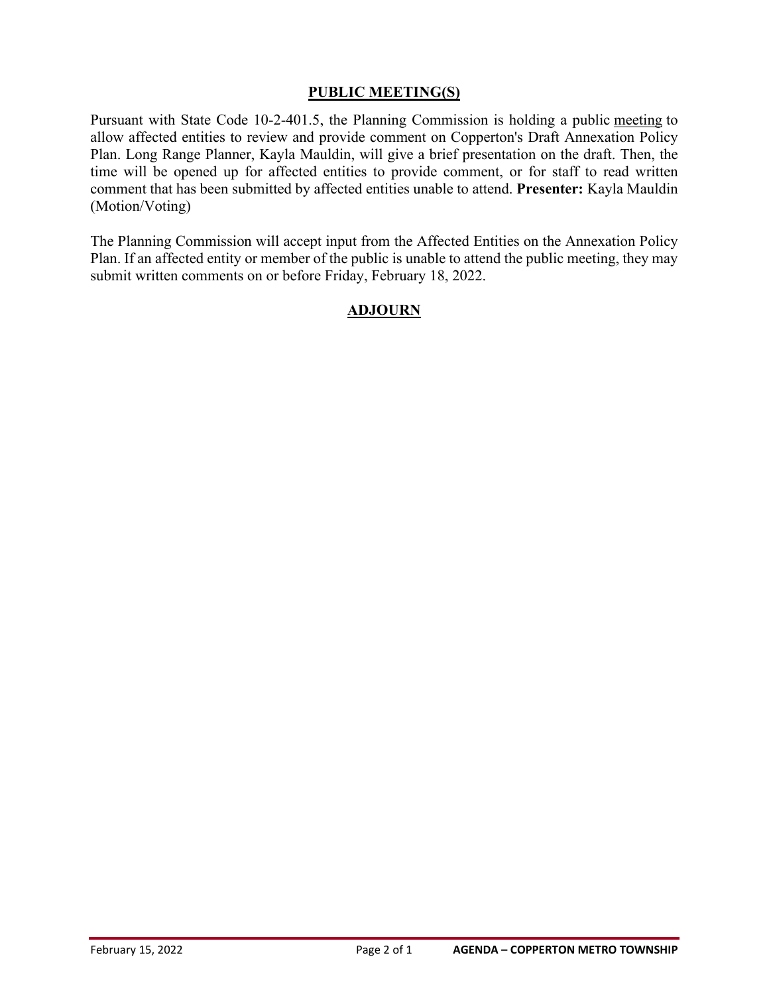#### **PUBLIC MEETING(S)**

Pursuant with State Code 10-2-401.5, the Planning Commission is holding a public meeting to allow affected entities to review and provide comment on Copperton's Draft Annexation Policy Plan. Long Range Planner, Kayla Mauldin, will give a brief presentation on the draft. Then, the time will be opened up for affected entities to provide comment, or for staff to read written comment that has been submitted by affected entities unable to attend. **Presenter:** Kayla Mauldin (Motion/Voting)

The Planning Commission will accept input from the Affected Entities on the Annexation Policy Plan. If an affected entity or member of the public is unable to attend the public meeting, they may submit written comments on or before Friday, February 18, 2022.

#### **ADJOURN**